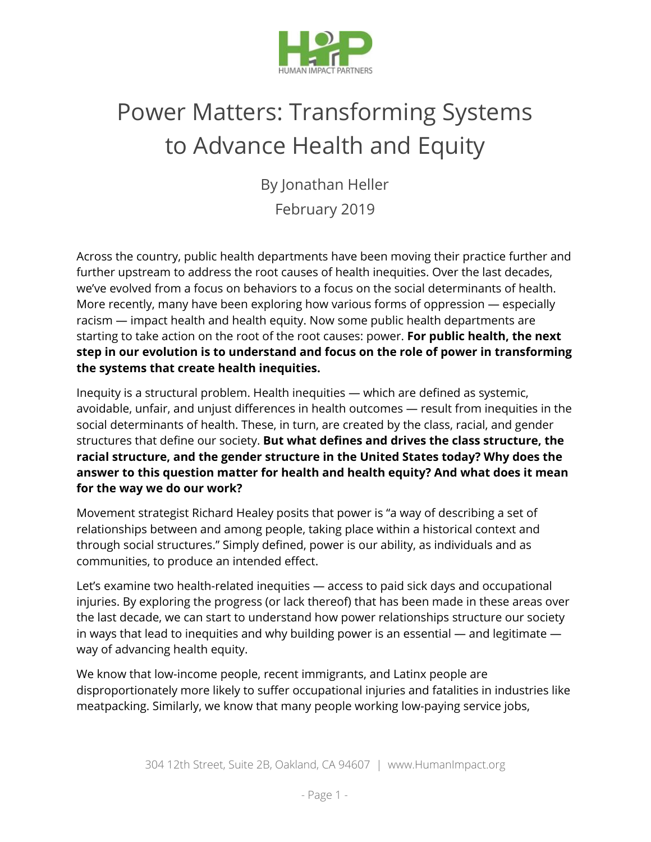

# Power Matters: Transforming Systems to Advance Health and Equity

By Jonathan Heller February 2019

Across the country, public health departments have been moving their practice further and further upstream to address the root causes of health inequities. Over the last decades, we've evolved from a focus on behaviors to a focus on the social determinants of health. More recently, many have been exploring how various forms of oppression — especially racism — impact health and health equity. Now some public health departments are starting to take action on the root of the root causes: power. **For public health, the next step in our evolution is to understand and focus on the role of power in transforming the systems that create health inequities.**

Inequity is a structural problem. Health inequities — which are defined as systemic, avoidable, unfair, and unjust differences in health outcomes — result from inequities in the social determinants of health. These, in turn, are created by the class, racial, and gender structures that define our society. **But what defines and drives the class structure, the racial structure, and the gender structure in the United States today? Why does the answer to this question matter for health and health equity? And what does it mean for the way we do our work?**

Movement strategist Richard Healey posits that power is "a way of describing a set of relationships between and among people, taking place within a historical context and through social structures." Simply defined, power is our ability, as individuals and as communities, to produce an intended effect.

Let's examine two health-related inequities — access to paid sick days and occupational injuries. By exploring the progress (or lack thereof) that has been made in these areas over the last decade, we can start to understand how power relationships structure our society in ways that lead to inequities and why building power is an essential  $-$  and legitimate  $$ way of advancing health equity.

We know that low-income people, recent immigrants, and Latinx people are disproportionately more likely to suffer occupational injuries and fatalities in industries like meatpacking. Similarly, we know that many people working low-paying service jobs,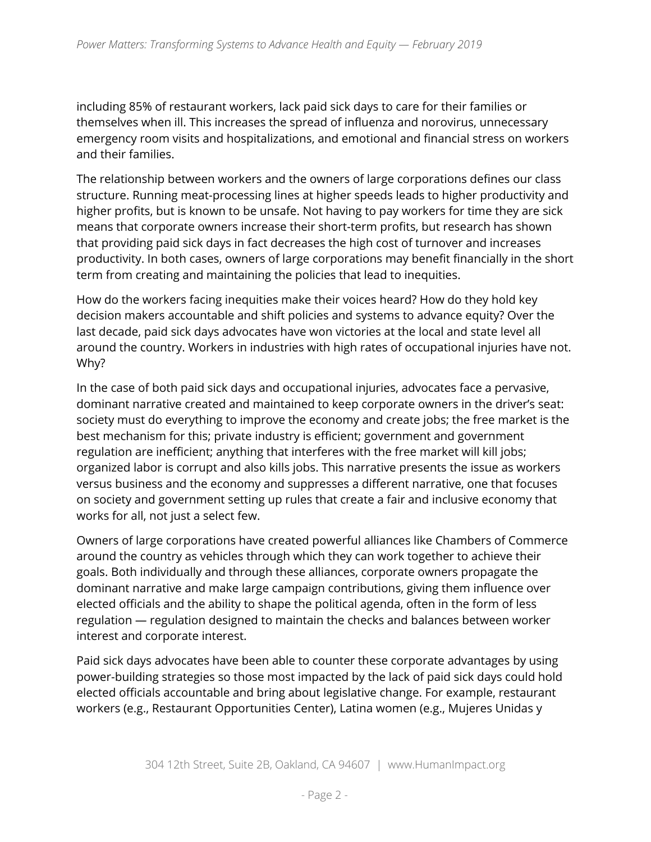including 85% of restaurant workers, lack paid sick days to care for their families or themselves when ill. This increases the spread of influenza and norovirus, unnecessary emergency room visits and hospitalizations, and emotional and financial stress on workers and their families.

The relationship between workers and the owners of large corporations defines our class structure. Running meat-processing lines at higher speeds leads to higher productivity and higher profits, but is known to be unsafe. Not having to pay workers for time they are sick means that corporate owners increase their short-term profits, but research has shown that providing paid sick days in fact decreases the high cost of turnover and increases productivity. In both cases, owners of large corporations may benefit financially in the short term from creating and maintaining the policies that lead to inequities.

How do the workers facing inequities make their voices heard? How do they hold key decision makers accountable and shift policies and systems to advance equity? Over the last decade, paid sick days advocates have won victories at the local and state level all around the country. Workers in industries with high rates of occupational injuries have not. Why?

In the case of both paid sick days and occupational injuries, advocates face a pervasive, dominant narrative created and maintained to keep corporate owners in the driver's seat: society must do everything to improve the economy and create jobs; the free market is the best mechanism for this; private industry is efficient; government and government regulation are inefficient; anything that interferes with the free market will kill jobs; organized labor is corrupt and also kills jobs. This narrative presents the issue as workers versus business and the economy and suppresses a different narrative, one that focuses on society and government setting up rules that create a fair and inclusive economy that works for all, not just a select few.

Owners of large corporations have created powerful alliances like Chambers of Commerce around the country as vehicles through which they can work together to achieve their goals. Both individually and through these alliances, corporate owners propagate the dominant narrative and make large campaign contributions, giving them influence over elected officials and the ability to shape the political agenda, often in the form of less regulation — regulation designed to maintain the checks and balances between worker interest and corporate interest.

Paid sick days advocates have been able to counter these corporate advantages by using power-building strategies so those most impacted by the lack of paid sick days could hold elected officials accountable and bring about legislative change. For example, restaurant workers (e.g., Restaurant Opportunities Center), Latina women (e.g., Mujeres Unidas y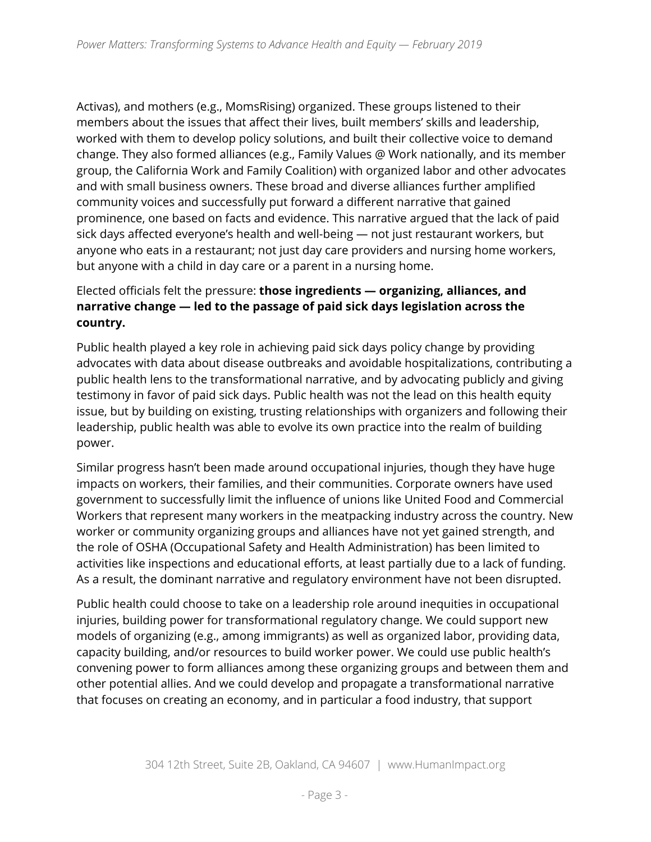Activas), and mothers (e.g., MomsRising) organized. These groups listened to their members about the issues that affect their lives, built members' skills and leadership, worked with them to develop policy solutions, and built their collective voice to demand change. They also formed alliances (e.g., Family Values @ Work nationally, and its member group, the California Work and Family Coalition) with organized labor and other advocates and with small business owners. These broad and diverse alliances further amplified community voices and successfully put forward a different narrative that gained prominence, one based on facts and evidence. This narrative argued that the lack of paid sick days affected everyone's health and well-being — not just restaurant workers, but anyone who eats in a restaurant; not just day care providers and nursing home workers, but anyone with a child in day care or a parent in a nursing home.

## Elected officials felt the pressure: **those ingredients — organizing, alliances, and narrative change — led to the passage of paid sick days legislation across the country.**

Public health played a key role in achieving paid sick days policy change by providing advocates with data about disease outbreaks and avoidable hospitalizations, contributing a public health lens to the transformational narrative, and by advocating publicly and giving testimony in favor of paid sick days. Public health was not the lead on this health equity issue, but by building on existing, trusting relationships with organizers and following their leadership, public health was able to evolve its own practice into the realm of building power.

Similar progress hasn't been made around occupational injuries, though they have huge impacts on workers, their families, and their communities. Corporate owners have used government to successfully limit the influence of unions like United Food and Commercial Workers that represent many workers in the meatpacking industry across the country. New worker or community organizing groups and alliances have not yet gained strength, and the role of OSHA (Occupational Safety and Health Administration) has been limited to activities like inspections and educational efforts, at least partially due to a lack of funding. As a result, the dominant narrative and regulatory environment have not been disrupted.

Public health could choose to take on a leadership role around inequities in occupational injuries, building power for transformational regulatory change. We could support new models of organizing (e.g., among immigrants) as well as organized labor, providing data, capacity building, and/or resources to build worker power. We could use public health's convening power to form alliances among these organizing groups and between them and other potential allies. And we could develop and propagate a transformational narrative that focuses on creating an economy, and in particular a food industry, that support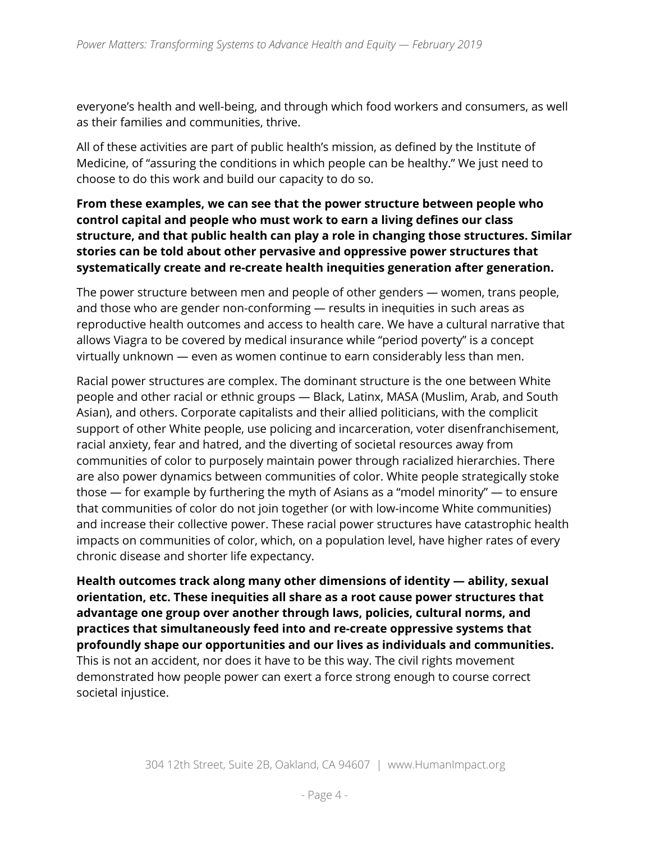everyone's health and well-being, and through which food workers and consumers, as well as their families and communities, thrive.

All of these activities are part of public health's mission, as defined by the Institute of Medicine, of "assuring the conditions in which people can be healthy." We just need to choose to do this work and build our capacity to do so.

#### **From these examples, we can see that the power structure between people who control capital and people who must work to earn a living defines our class structure, and that public health can play a role in changing those structures. Similar stories can be told about other pervasive and oppressive power structures that systematically create and re-create health inequities generation after generation.**

The power structure between men and people of other genders — women, trans people, and those who are gender non-conforming — results in inequities in such areas as reproductive health outcomes and access to health care. We have a cultural narrative that allows Viagra to be covered by medical insurance while "period poverty" is a concept virtually unknown — even as women continue to earn considerably less than men.

Racial power structures are complex. The dominant structure is the one between White people and other racial or ethnic groups — Black, Latinx, MASA (Muslim, Arab, and South Asian), and others. Corporate capitalists and their allied politicians, with the complicit support of other White people, use policing and incarceration, voter disenfranchisement, racial anxiety, fear and hatred, and the diverting of societal resources away from communities of color to purposely maintain power through racialized hierarchies. There are also power dynamics between communities of color. White people strategically stoke those — for example by furthering the myth of Asians as a "model minority" — to ensure that communities of color do not join together (or with low-income White communities) and increase their collective power. These racial power structures have catastrophic health impacts on communities of color, which, on a population level, have higher rates of every chronic disease and shorter life expectancy.

**Health outcomes track along many other dimensions of identity — ability, sexual orientation, etc. These inequities all share as a root cause power structures that advantage one group over another through laws, policies, cultural norms, and practices that simultaneously feed into and re-create oppressive systems that profoundly shape our opportunities and our lives as individuals and communities.** This is not an accident, nor does it have to be this way. The civil rights movement demonstrated how people power can exert a force strong enough to course correct societal injustice.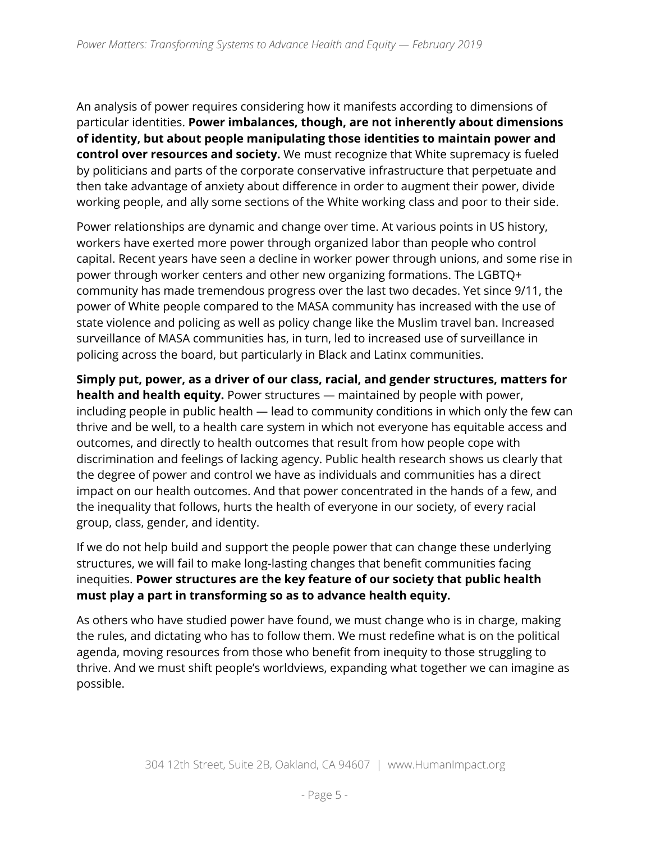An analysis of power requires considering how it manifests according to dimensions of particular identities. **Power imbalances, though, are not inherently about dimensions of identity, but about people manipulating those identities to maintain power and control over resources and society.** We must recognize that White supremacy is fueled by politicians and parts of the corporate conservative infrastructure that perpetuate and then take advantage of anxiety about difference in order to augment their power, divide working people, and ally some sections of the White working class and poor to their side.

Power relationships are dynamic and change over time. At various points in US history, workers have exerted more power through organized labor than people who control capital. Recent years have seen a decline in worker power through unions, and some rise in power through worker centers and other new organizing formations. The LGBTQ+ community has made tremendous progress over the last two decades. Yet since 9/11, the power of White people compared to the MASA community has increased with the use of state violence and policing as well as policy change like the Muslim travel ban. Increased surveillance of MASA communities has, in turn, led to increased use of surveillance in policing across the board, but particularly in Black and Latinx communities.

**Simply put, power, as a driver of our class, racial, and gender structures, matters for health and health equity.** Power structures — maintained by people with power, including people in public health — lead to community conditions in which only the few can thrive and be well, to a health care system in which not everyone has equitable access and outcomes, and directly to health outcomes that result from how people cope with discrimination and feelings of lacking agency. Public health research shows us clearly that the degree of power and control we have as individuals and communities has a direct impact on our health outcomes. And that power concentrated in the hands of a few, and the inequality that follows, hurts the health of everyone in our society, of every racial group, class, gender, and identity.

If we do not help build and support the people power that can change these underlying structures, we will fail to make long-lasting changes that benefit communities facing inequities. **Power structures are the key feature of our society that public health must play a part in transforming so as to advance health equity.**

As others who have studied power have found, we must change who is in charge, making the rules, and dictating who has to follow them. We must redefine what is on the political agenda, moving resources from those who benefit from inequity to those struggling to thrive. And we must shift people's worldviews, expanding what together we can imagine as possible.